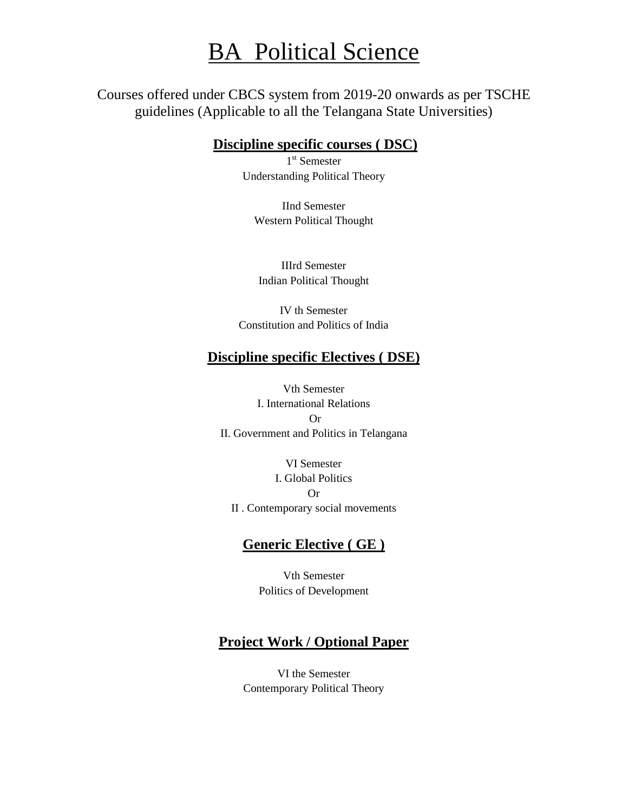# **BA Political Science**

Courses offered under CBCS system from 2019-20 onwards as per TSCHE guidelines (Applicable to all the Telangana State Universities)

#### **Discipline specific courses ( DSC)**

1<sup>st</sup> Semester Understanding Political Theory

IInd Semester Western Political Thought

IIIrd Semester Indian Political Thought

IV th Semester Constitution and Politics of India

### **Discipline specific Electives ( DSE)**

Vth Semester I. International Relations Or II. Government and Politics in Telangana

VI Semester I. Global Politics Or II . Contemporary social movements

#### **Generic Elective ( GE )**

Vth Semester Politics of Development

#### **Project Work / Optional Paper**

VI the Semester Contemporary Political Theory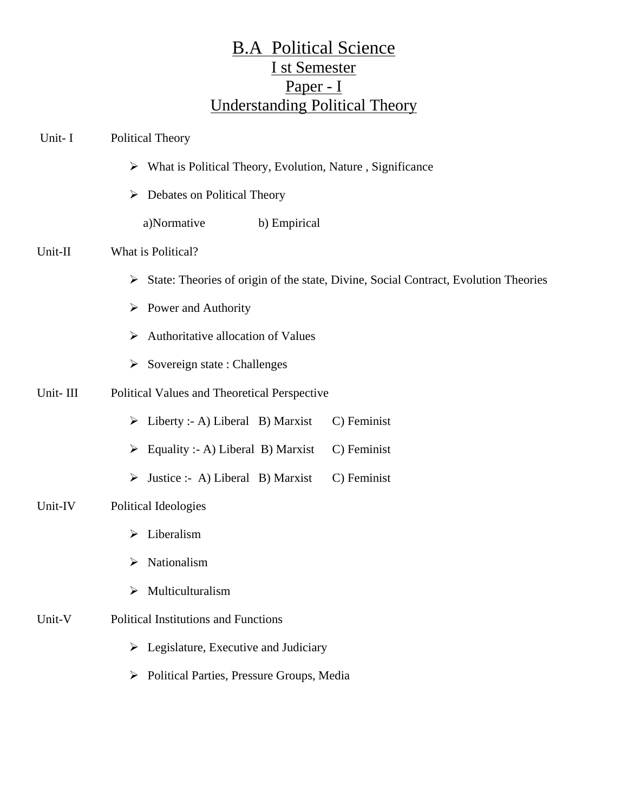# B.A Political Science I st Semester Paper - I Understanding Political Theory

| Unit-I   | <b>Political Theory</b>                                                                  |
|----------|------------------------------------------------------------------------------------------|
|          | What is Political Theory, Evolution, Nature, Significance<br>➤                           |
|          | Debates on Political Theory<br>➤                                                         |
|          | a)Normative<br>b) Empirical                                                              |
| Unit-II  | What is Political?                                                                       |
|          | State: Theories of origin of the state, Divine, Social Contract, Evolution Theories<br>➤ |
|          | Power and Authority<br>➤                                                                 |
|          | Authoritative allocation of Values<br>➤                                                  |
|          | Sovereign state: Challenges<br>➤                                                         |
| Unit-III | Political Values and Theoretical Perspective                                             |
|          | $\triangleright$ Liberty :- A) Liberal B) Marxist<br>C) Feminist                         |
|          | C) Feminist<br>Equality :- A) Liberal B) Marxist<br>➤                                    |
|          | Justice :- A) Liberal B) Marxist<br>C) Feminist<br>➤                                     |
| Unit-IV  | Political Ideologies                                                                     |
|          | Liberalism<br>$\blacktriangleright$                                                      |
|          | Nationalism<br>➤                                                                         |
|          | Multiculturalism<br>≻                                                                    |
| Unit-V   | <b>Political Institutions and Functions</b>                                              |

- $\triangleright$  Legislature, Executive and Judiciary
- Political Parties, Pressure Groups, Media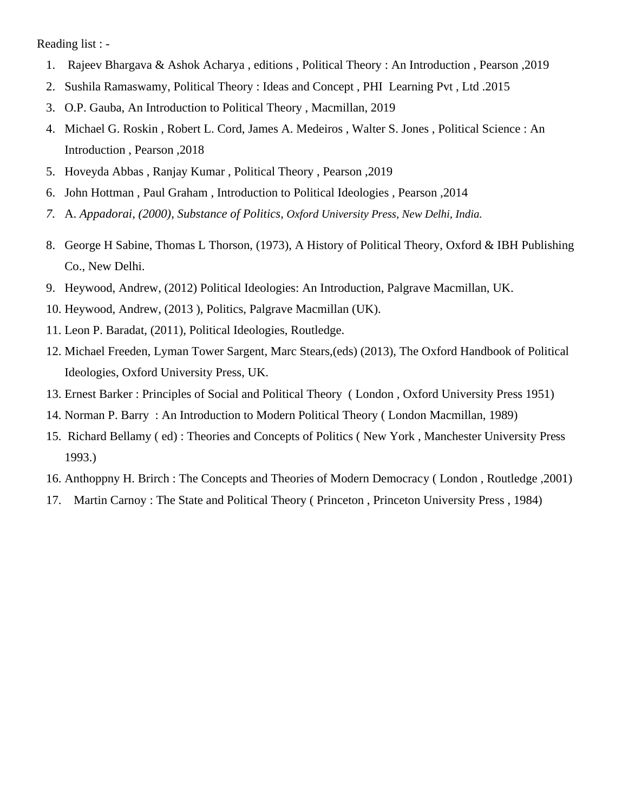Reading list : -

- 1. Rajeev Bhargava & Ashok Acharya , editions , Political Theory : An Introduction , Pearson ,2019
- 2. Sushila Ramaswamy, Political Theory : Ideas and Concept , PHI Learning Pvt , Ltd .2015
- 3. O.P. Gauba, An Introduction to Political Theory , Macmillan, 2019
- 4. Michael G. Roskin , Robert L. Cord, James A. Medeiros , Walter S. Jones , Political Science : An Introduction , Pearson ,2018
- 5. Hoveyda Abbas , Ranjay Kumar , Political Theory , Pearson ,2019
- 6. John Hottman , Paul Graham , Introduction to Political Ideologies , Pearson ,2014
- *7.* A. *Appadorai*, *(2000), Substance of Politics, Oxford University Press, New Delhi, India.*
- 8. George H Sabine, Thomas L Thorson, (1973), A History of Political Theory, Oxford & IBH Publishing Co., New Delhi.
- 9. Heywood, Andrew, (2012) Political Ideologies: An Introduction, Palgrave Macmillan, UK.
- 10. Heywood, Andrew, (2013 ), Politics, Palgrave Macmillan (UK).
- 11. Leon P. Baradat, (2011), Political Ideologies, Routledge.
- 12. Michael Freeden, Lyman Tower Sargent, Marc Stears,(eds) (2013), The Oxford Handbook of Political Ideologies, Oxford University Press, UK.
- 13. Ernest Barker : Principles of Social and Political Theory ( London , Oxford University Press 1951)
- 14. Norman P. Barry : An Introduction to Modern Political Theory ( London Macmillan, 1989)
- 15. Richard Bellamy ( ed) : Theories and Concepts of Politics ( New York , Manchester University Press 1993.)
- 16. Anthoppny H. Brirch : The Concepts and Theories of Modern Democracy ( London , Routledge ,2001)
- 17. Martin Carnoy : The State and Political Theory ( Princeton , Princeton University Press , 1984)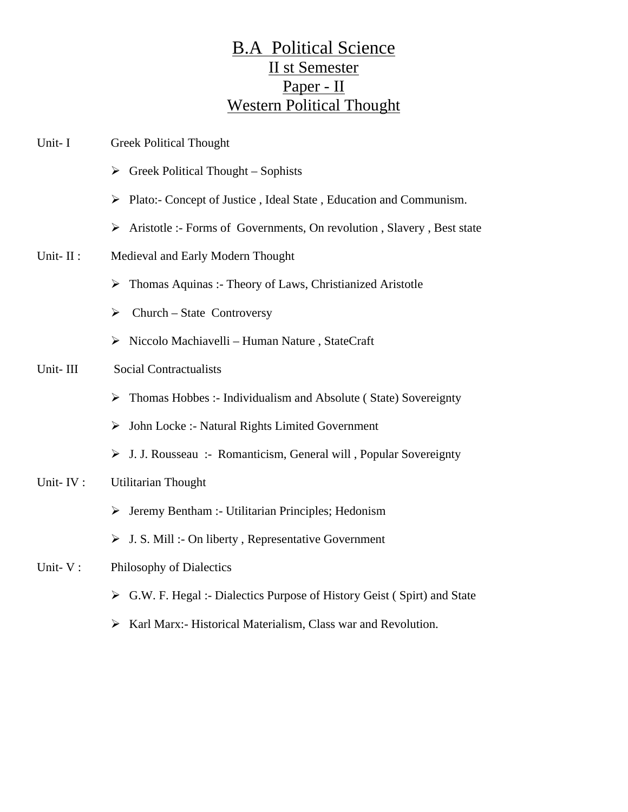# B.A Political Science II st Semester Paper - II Western Political Thought

| Unit-I   | <b>Greek Political Thought</b>                                                          |
|----------|-----------------------------------------------------------------------------------------|
|          | $\triangleright$ Greek Political Thought – Sophists                                     |
|          | $\triangleright$ Plato:- Concept of Justice, Ideal State, Education and Communism.      |
|          | $\triangleright$ Aristotle :- Forms of Governments, On revolution, Slavery, Best state  |
| Unit-II: | Medieval and Early Modern Thought                                                       |
|          | Thomas Aquinas: - Theory of Laws, Christianized Aristotle<br>➤                          |
|          | Church - State Controversy<br>➤                                                         |
|          | > Niccolo Machiavelli - Human Nature, StateCraft                                        |
| Unit-III | <b>Social Contractualists</b>                                                           |
|          | Thomas Hobbes :- Individualism and Absolute (State) Sovereignty<br>➤                    |
|          | John Locke :- Natural Rights Limited Government<br>➤                                    |
|          | > J. J. Rousseau :- Romanticism, General will, Popular Sovereignty                      |
| Unit-IV: | <b>Utilitarian Thought</b>                                                              |
|          | $\triangleright$ Jeremy Bentham :- Utilitarian Principles; Hedonism                     |
|          | $\triangleright$ J. S. Mill :- On liberty, Representative Government                    |
| Unit-V:  | Philosophy of Dialectics                                                                |
|          | $\triangleright$ G.W. F. Hegal :- Dialectics Purpose of History Geist (Spirt) and State |
|          | > Karl Marx:- Historical Materialism, Class war and Revolution.                         |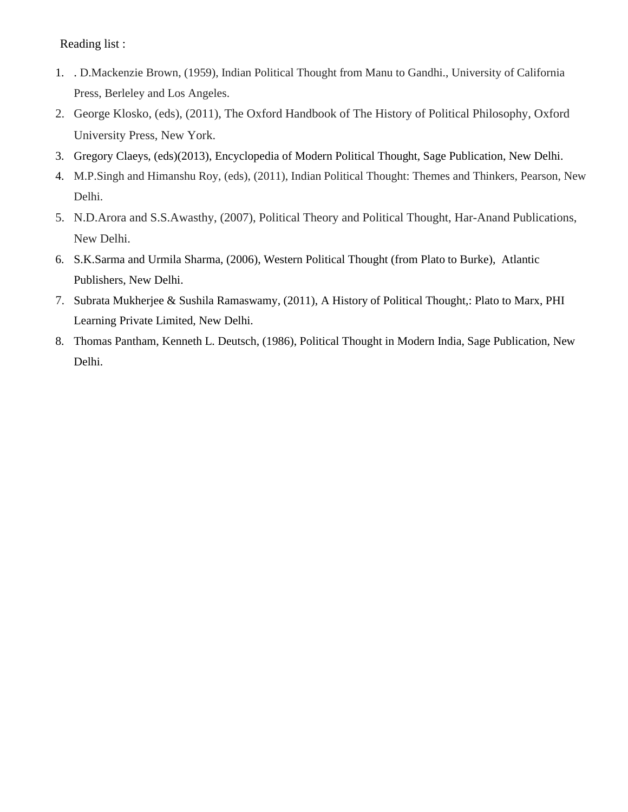Reading list :

- 1. . D.Mackenzie Brown, (1959), Indian Political Thought from Manu to Gandhi., University of California Press, Berleley and Los Angeles.
- 2. George Klosko, (eds), (2011), The Oxford Handbook of The History of Political Philosophy, Oxford University Press, New York.
- 3. Gregory Claeys, (eds)(2013), Encyclopedia of Modern Political Thought, Sage Publication, New Delhi.
- 4. M.P.Singh and Himanshu Roy, (eds), (2011), Indian Political Thought: Themes and Thinkers, Pearson, New Delhi.
- 5. N.D.Arora and S.S.Awasthy, (2007), Political Theory and Political Thought, Har-Anand Publications, New Delhi.
- 6. S.K.Sarma and Urmila Sharma, (2006), Western Political Thought (from Plato to Burke), Atlantic Publishers, New Delhi.
- 7. Subrata Mukherjee & Sushila Ramaswamy, (2011), A History of Political Thought,: Plato to Marx, PHI Learning Private Limited, New Delhi.
- 8. Thomas Pantham, Kenneth L. Deutsch, (1986), Political Thought in Modern India, Sage Publication, New Delhi.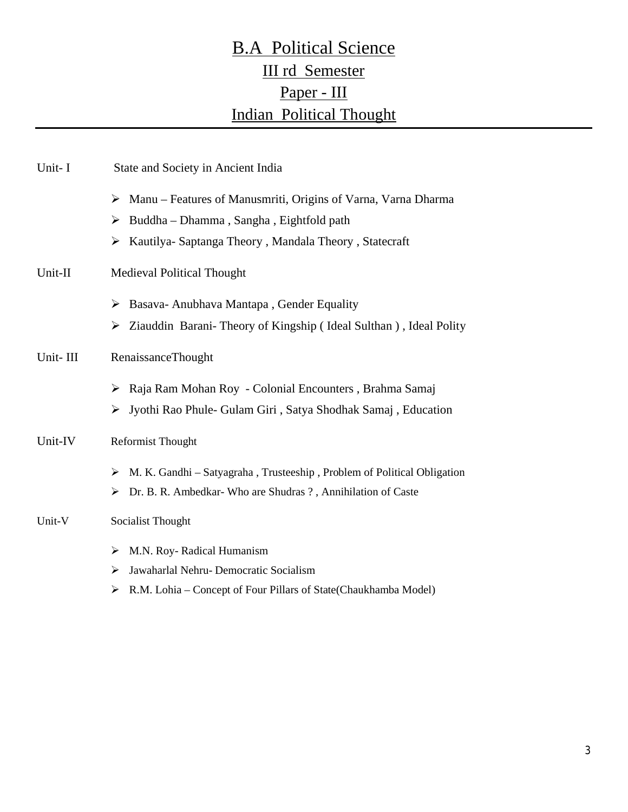# B.A Political Science III rd Semester Paper - III Indian Political Thought

| Unit-I   | State and Society in Ancient India                                                |
|----------|-----------------------------------------------------------------------------------|
|          | $\triangleright$ Manu – Features of Manusmriti, Origins of Varna, Varna Dharma    |
|          | $\triangleright$ Buddha – Dhamma, Sangha, Eightfold path                          |
|          | Kautilya-Saptanga Theory, Mandala Theory, Statecraft<br>➤                         |
| Unit-II  | Medieval Political Thought                                                        |
|          | $\triangleright$ Basava-Anubhava Mantapa, Gender Equality                         |
|          | $\triangleright$ Ziauddin Barani-Theory of Kingship (Ideal Sulthan), Ideal Polity |
| Unit-III | <b>RenaissanceThought</b>                                                         |
|          | Raja Ram Mohan Roy - Colonial Encounters, Brahma Samaj<br>➤                       |
|          | > Jyothi Rao Phule- Gulam Giri, Satya Shodhak Samaj, Education                    |
| Unit-IV  | <b>Reformist Thought</b>                                                          |
|          | M. K. Gandhi – Satyagraha, Trusteeship, Problem of Political Obligation<br>➤      |
|          | $\triangleright$ Dr. B. R. Ambedkar-Who are Shudras ?, Annihilation of Caste      |
| Unit-V   | Socialist Thought                                                                 |
|          | $\triangleright$ M.N. Roy- Radical Humanism                                       |
|          | Jawaharlal Nehru- Democratic Socialism<br>➤                                       |
|          | $\triangleright$ R.M. Lohia – Concept of Four Pillars of State(Chaukhamba Model)  |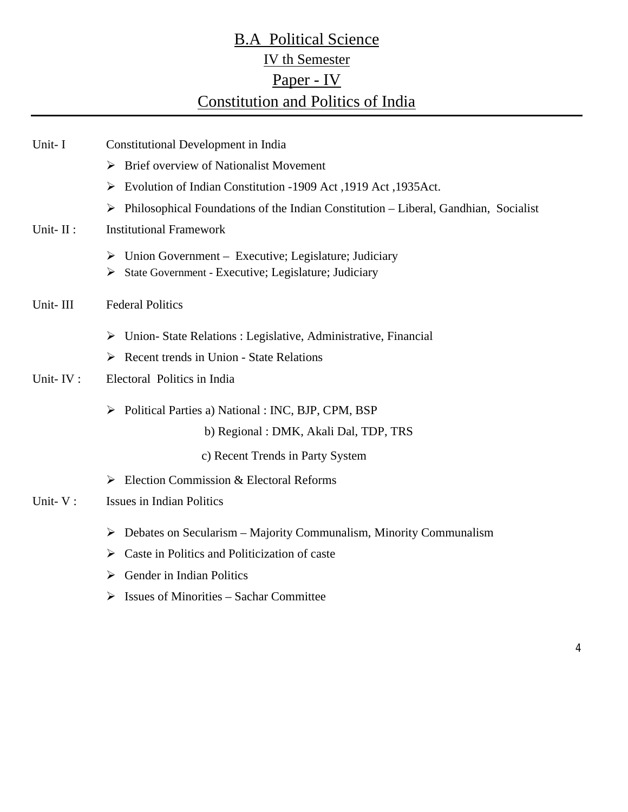# **B.A Political Science** IV th Semester Paper - IV Constitution and Politics of India

| Unit-I   | Constitutional Development in India                                                                                    |
|----------|------------------------------------------------------------------------------------------------------------------------|
|          | <b>Brief overview of Nationalist Movement</b><br>≻                                                                     |
|          | Evolution of Indian Constitution -1909 Act ,1919 Act ,1935 Act.<br>➤                                                   |
|          | Philosophical Foundations of the Indian Constitution – Liberal, Gandhian, Socialist<br>➤                               |
| Unit-II: | <b>Institutional Framework</b>                                                                                         |
|          | Union Government – Executive; Legislature; Judiciary<br>≻<br>State Government - Executive; Legislature; Judiciary<br>➤ |
| Unit-III | <b>Federal Politics</b>                                                                                                |
|          | Union-State Relations : Legislative, Administrative, Financial<br>➤                                                    |
|          | $\triangleright$ Recent trends in Union - State Relations                                                              |
| Unit-IV: | Electoral Politics in India                                                                                            |
|          | Political Parties a) National : INC, BJP, CPM, BSP<br>➤                                                                |
|          | b) Regional: DMK, Akali Dal, TDP, TRS                                                                                  |
|          | c) Recent Trends in Party System                                                                                       |
|          | Election Commission & Electoral Reforms<br>➤                                                                           |
| Unit-V:  | <b>Issues in Indian Politics</b>                                                                                       |
|          | Debates on Secularism – Majority Communalism, Minority Communalism<br>➤                                                |
|          | Caste in Politics and Politicization of caste<br>➤                                                                     |
|          | Gender in Indian Politics<br>➤                                                                                         |
|          | $\triangleright$ Issues of Minorities – Sachar Committee                                                               |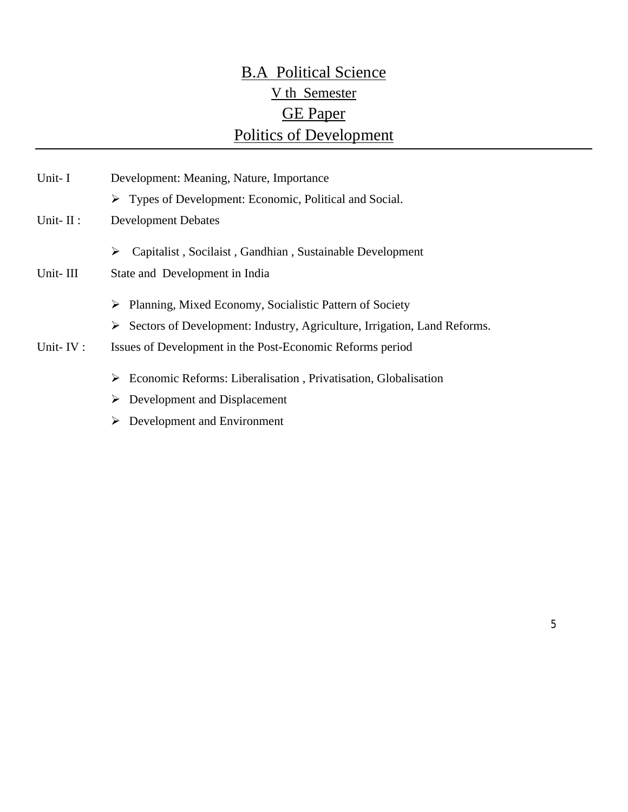# B.A Political Science V th Semester GE Paper Politics of Development

| Unit-I       | Development: Meaning, Nature, Importance<br>$\triangleright$ Types of Development: Economic, Political and Social. |
|--------------|--------------------------------------------------------------------------------------------------------------------|
| Unit- $II$ : | <b>Development Debates</b>                                                                                         |
|              | Capitalist, Socilaist, Gandhian, Sustainable Development<br>➤                                                      |
| Unit-III     | State and Development in India                                                                                     |
|              | Planning, Mixed Economy, Socialistic Pattern of Society<br>➤                                                       |
|              | $\triangleright$ Sectors of Development: Industry, Agriculture, Irrigation, Land Reforms.                          |
| Unit-IV:     | Issues of Development in the Post-Economic Reforms period                                                          |
|              | Economic Reforms: Liberalisation, Privatisation, Globalisation<br>➤                                                |
|              | Development and Displacement<br>➤                                                                                  |
|              | Development and Environment                                                                                        |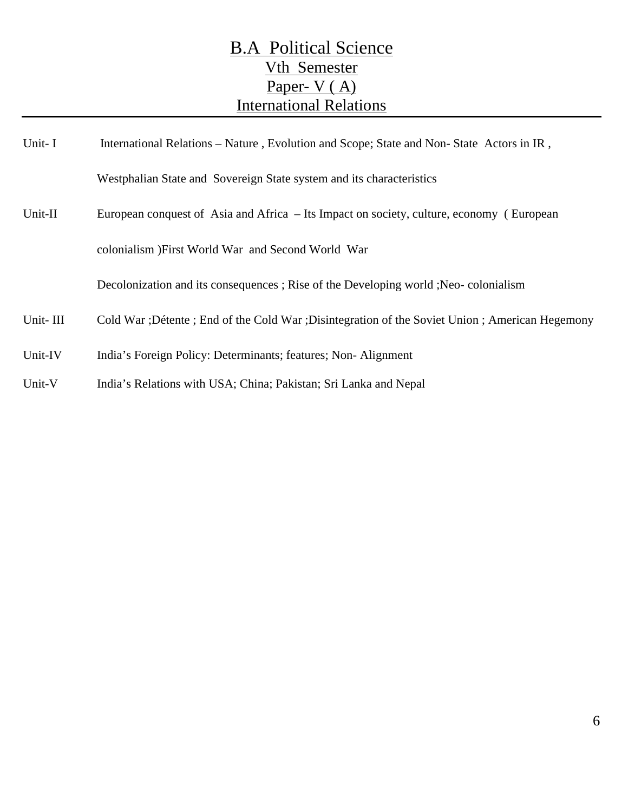# B.A Political Science Vth Semester Paper- V (A) International Relations

| Unit-I   | International Relations – Nature, Evolution and Scope; State and Non-State Actors in IR,          |
|----------|---------------------------------------------------------------------------------------------------|
|          | Westphalian State and Sovereign State system and its characteristics                              |
| Unit-II  | European conquest of Asia and Africa – Its Impact on society, culture, economy (European          |
|          | colonialism ) First World War and Second World War                                                |
|          | Decolonization and its consequences; Rise of the Developing world; Neo-colonialism                |
| Unit-III | Cold War ; Détente ; End of the Cold War ; Disintegration of the Soviet Union ; American Hegemony |
| Unit-IV  | India's Foreign Policy: Determinants; features; Non-Alignment                                     |
| Unit-V   | India's Relations with USA; China; Pakistan; Sri Lanka and Nepal                                  |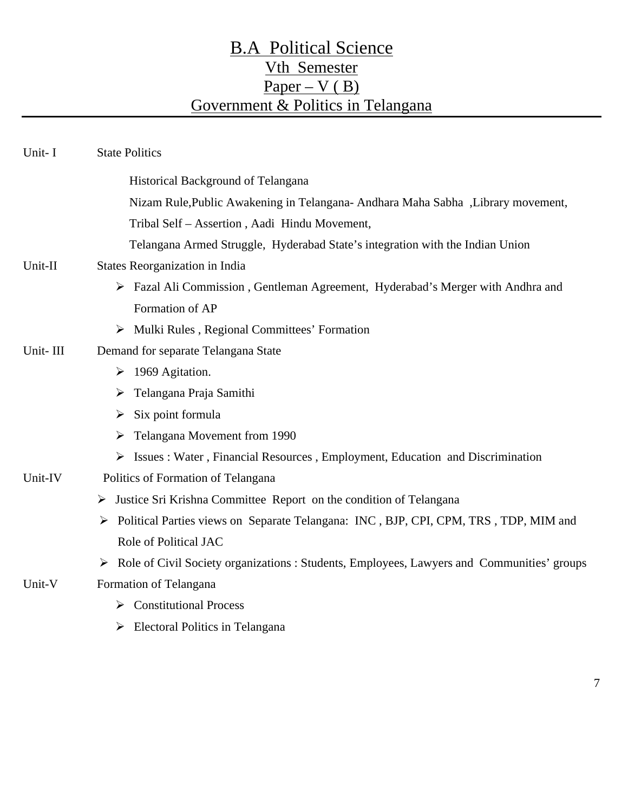# B.A Political Science Vth Semester  $Paper - V ( B)$ Government & Politics in Telangana

| Unit-I   | <b>State Politics</b>                                                                          |
|----------|------------------------------------------------------------------------------------------------|
|          | Historical Background of Telangana                                                             |
|          | Nizam Rule, Public Awakening in Telangana- Andhara Maha Sabha , Library movement,              |
|          | Tribal Self - Assertion, Aadi Hindu Movement,                                                  |
|          | Telangana Armed Struggle, Hyderabad State's integration with the Indian Union                  |
| Unit-II  | States Reorganization in India                                                                 |
|          | > Fazal Ali Commission, Gentleman Agreement, Hyderabad's Merger with Andhra and                |
|          | Formation of AP                                                                                |
|          | > Mulki Rules, Regional Committees' Formation                                                  |
| Unit-III | Demand for separate Telangana State                                                            |
|          | $\triangleright$ 1969 Agitation.                                                               |
|          | Telangana Praja Samithi<br>➤                                                                   |
|          | $\triangleright$ Six point formula                                                             |
|          | $\triangleright$ Telangana Movement from 1990                                                  |
|          | $\triangleright$ Issues : Water, Financial Resources, Employment, Education and Discrimination |
| Unit-IV  | Politics of Formation of Telangana                                                             |
|          | $\triangleright$ Justice Sri Krishna Committee Report on the condition of Telangana            |
|          | > Political Parties views on Separate Telangana: INC, BJP, CPI, CPM, TRS, TDP, MIM and         |
|          | Role of Political JAC                                                                          |
|          | > Role of Civil Society organizations : Students, Employees, Lawyers and Communities' groups   |
| Unit-V   | Formation of Telangana                                                                         |
|          | $\triangleright$ Constitutional Process                                                        |
|          | $\triangleright$ Electoral Politics in Telangana                                               |

7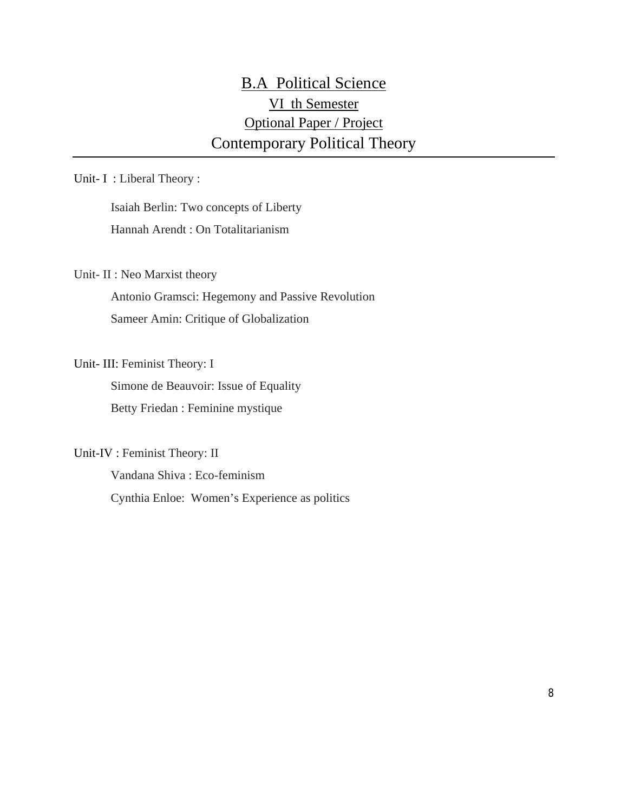### B.A Political Science VI th Semester Optional Paper / Project Contemporary Political Theory

Unit- I : Liberal Theory :

Isaiah Berlin: Two concepts of Liberty Hannah Arendt : On Totalitarianism

Unit- II : Neo Marxist theory

Antonio Gramsci: Hegemony and Passive Revolution Sameer Amin: Critique of Globalization

Unit- III: Feminist Theory: I

Simone de Beauvoir: Issue of Equality Betty Friedan : Feminine mystique

Unit-IV : Feminist Theory: II

Vandana Shiva : Eco-feminism Cynthia Enloe: Women's Experience as politics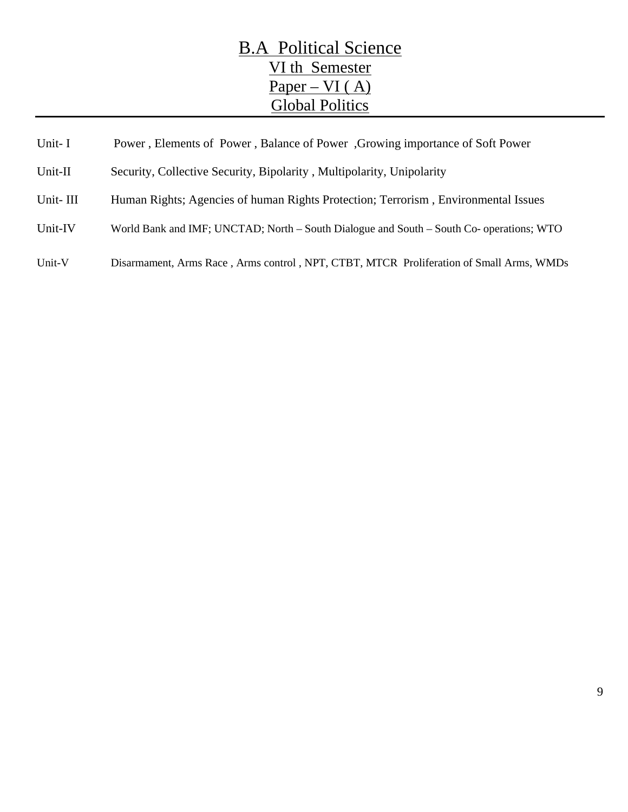## B.A Political Science VI th Semester  $Paper - VI (A)$ Global Politics

| Unit-I   | Power, Elements of Power, Balance of Power, Growing importance of Soft Power             |
|----------|------------------------------------------------------------------------------------------|
| Unit-II  | Security, Collective Security, Bipolarity, Multipolarity, Unipolarity                    |
| Unit-III | Human Rights; Agencies of human Rights Protection; Terrorism, Environmental Issues       |
| Unit-IV  | World Bank and IMF; UNCTAD; North – South Dialogue and South – South Co- operations; WTO |
| Unit-V   | Disarmament, Arms Race, Arms control, NPT, CTBT, MTCR Proliferation of Small Arms, WMDs  |